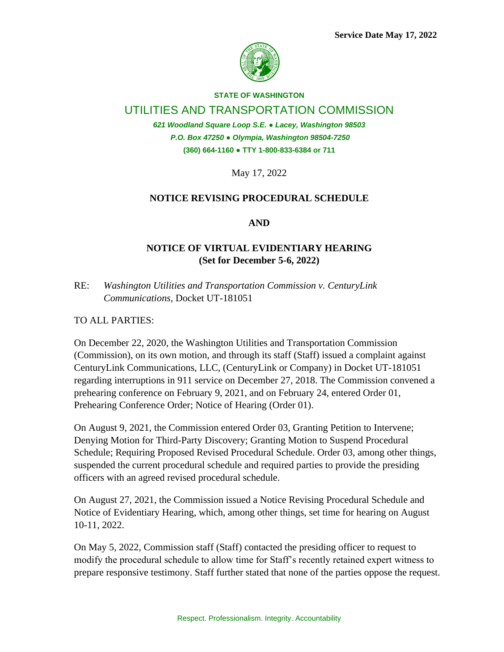

## **STATE OF WASHINGTON**

## UTILITIES AND TRANSPORTATION COMMISSION

*621 Woodland Square Loop S.E. ● Lacey, Washington 98503 P.O. Box 47250 ● Olympia, Washington 98504-7250* **(360) 664-1160 ● TTY 1-800-833-6384 or 711**

May 17, 2022

## **NOTICE REVISING PROCEDURAL SCHEDULE**

**AND**

## **NOTICE OF VIRTUAL EVIDENTIARY HEARING (Set for December 5-6, 2022)**

RE: *Washington Utilities and Transportation Commission v. CenturyLink Communications,* Docket UT-181051

TO ALL PARTIES:

On December 22, 2020, the Washington Utilities and Transportation Commission (Commission), on its own motion, and through its staff (Staff) issued a complaint against CenturyLink Communications, LLC, (CenturyLink or Company) in Docket UT-181051 regarding interruptions in 911 service on December 27, 2018. The Commission convened a prehearing conference on February 9, 2021, and on February 24, entered Order 01, Prehearing Conference Order; Notice of Hearing (Order 01).

On August 9, 2021, the Commission entered Order 03, Granting Petition to Intervene; Denying Motion for Third-Party Discovery; Granting Motion to Suspend Procedural Schedule; Requiring Proposed Revised Procedural Schedule. Order 03, among other things, suspended the current procedural schedule and required parties to provide the presiding officers with an agreed revised procedural schedule.

On August 27, 2021, the Commission issued a Notice Revising Procedural Schedule and Notice of Evidentiary Hearing, which, among other things, set time for hearing on August 10-11, 2022.

On May 5, 2022, Commission staff (Staff) contacted the presiding officer to request to modify the procedural schedule to allow time for Staff's recently retained expert witness to prepare responsive testimony. Staff further stated that none of the parties oppose the request.